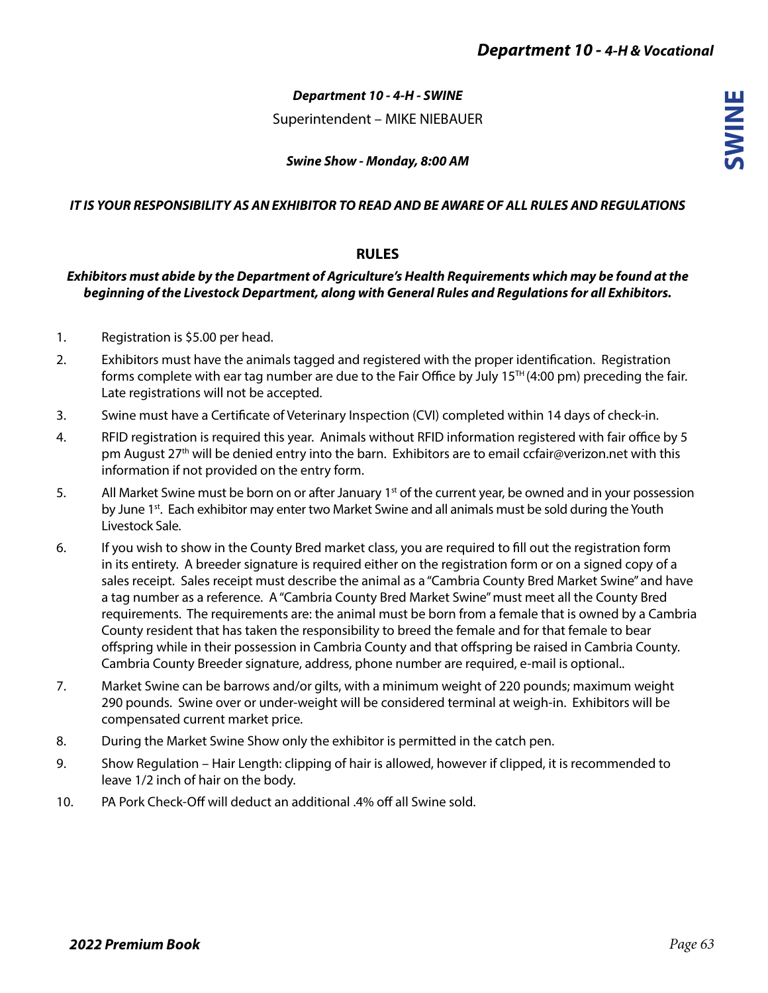**SWINE**

## *Department 10 - 4-H - SWINE*

Superintendent – MIKE NIEBAUER

*Swine Show - Monday, 8:00 AM* 

#### *IT IS YOUR RESPONSIBILITY AS AN EXHIBITOR TO READ AND BE AWARE OF ALL RULES AND REGULATIONS*

## **RULES**

### *Exhibitors must abide by the Department of Agriculture's Health Requirements which may be found at the beginning of the Livestock Department, along with General Rules and Regulations for all Exhibitors.*

- 1. Registration is \$5.00 per head.
- 2. Exhibitors must have the animals tagged and registered with the proper identification. Registration forms complete with ear tag number are due to the Fair Office by July  $15<sup>TH</sup>(4:00 pm)$  preceding the fair. Late registrations will not be accepted.
- 3. Swine must have a Certificate of Veterinary Inspection (CVI) completed within 14 days of check-in.
- 4. RFID registration is required this year. Animals without RFID information registered with fair office by 5 pm August 27<sup>th</sup> will be denied entry into the barn. Exhibitors are to email ccfair@verizon.net with this information if not provided on the entry form.
- 5. All Market Swine must be born on or after January 1<sup>st</sup> of the current year, be owned and in your possession by June 1<sup>st</sup>. Each exhibitor may enter two Market Swine and all animals must be sold during the Youth Livestock Sale.
- 6. If you wish to show in the County Bred market class, you are required to fill out the registration form in its entirety. A breeder signature is required either on the registration form or on a signed copy of a sales receipt. Sales receipt must describe the animal as a "Cambria County Bred Market Swine" and have a tag number as a reference. A "Cambria County Bred Market Swine" must meet all the County Bred requirements. The requirements are: the animal must be born from a female that is owned by a Cambria County resident that has taken the responsibility to breed the female and for that female to bear offspring while in their possession in Cambria County and that offspring be raised in Cambria County. Cambria County Breeder signature, address, phone number are required, e-mail is optional..
- 7. Market Swine can be barrows and/or gilts, with a minimum weight of 220 pounds; maximum weight 290 pounds. Swine over or under-weight will be considered terminal at weigh-in. Exhibitors will be compensated current market price.
- 8. During the Market Swine Show only the exhibitor is permitted in the catch pen.
- 9. Show Regulation Hair Length: clipping of hair is allowed, however if clipped, it is recommended to leave 1/2 inch of hair on the body.
- 10. PA Pork Check-Off will deduct an additional .4% off all Swine sold.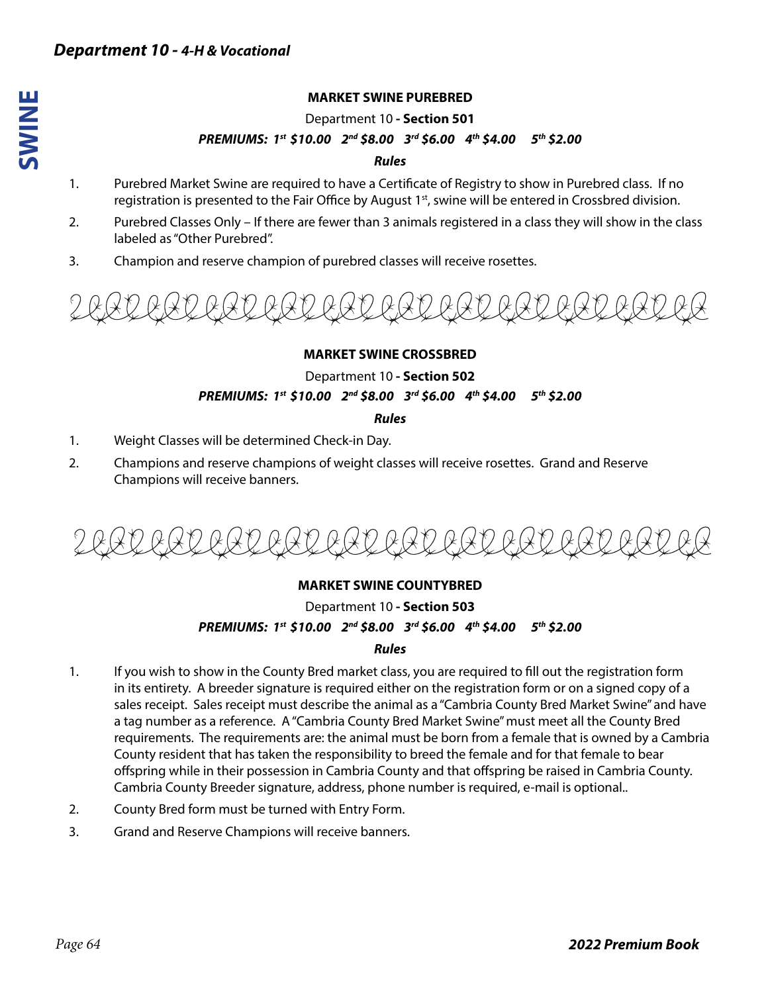**SWINE**

Department 10 **- Section 501**

#### *PREMIUMS: 1st \$10.00 2nd \$8.00 3rd \$6.00 4th \$4.00 5th \$2.00*

#### *Rules*

- 1. Purebred Market Swine are required to have a Certificate of Registry to show in Purebred class. If no registration is presented to the Fair Office by August 1<sup>st</sup>, swine will be entered in Crossbred division.
- 2. Purebred Classes Only If there are fewer than 3 animals registered in a class they will show in the class labeled as "Other Purebred".
- 3. Champion and reserve champion of purebred classes will receive rosettes.



#### **MARKET SWINE CROSSBRED**

Department 10 **- Section 502** *PREMIUMS: 1st \$10.00 2nd \$8.00 3rd \$6.00 4th \$4.00 5th \$2.00* 

*Rules*

- 1. Weight Classes will be determined Check-in Day.
- 2. Champions and reserve champions of weight classes will receive rosettes. Grand and Reserve Champions will receive banners.

# **MARKET SWINE COUNTYBRED**

# Department 10 **- Section 503**

# *PREMIUMS: 1st \$10.00 2nd \$8.00 3rd \$6.00 4th \$4.00 5th \$2.00*

#### *Rules*

- 1. If you wish to show in the County Bred market class, you are required to fill out the registration form in its entirety. A breeder signature is required either on the registration form or on a signed copy of a sales receipt. Sales receipt must describe the animal as a "Cambria County Bred Market Swine" and have a tag number as a reference. A "Cambria County Bred Market Swine" must meet all the County Bred requirements. The requirements are: the animal must be born from a female that is owned by a Cambria County resident that has taken the responsibility to breed the female and for that female to bear offspring while in their possession in Cambria County and that offspring be raised in Cambria County. Cambria County Breeder signature, address, phone number is required, e-mail is optional..
- 2. County Bred form must be turned with Entry Form.
- 3. Grand and Reserve Champions will receive banners.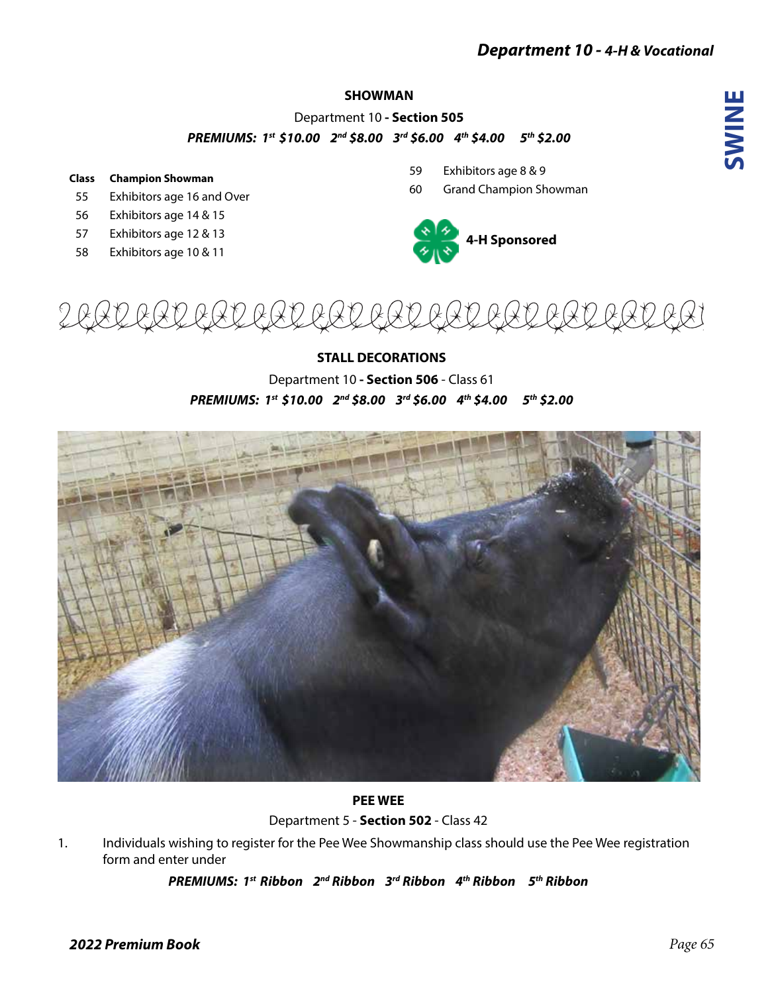# *Department 10 - 4-H & Vocational*

# **SWINE**

# **SHOWMAN**

Department 10 **- Section 505** *PREMIUMS: 1st \$10.00 2nd \$8.00 3rd \$6.00 4th \$4.00 5th \$2.00* 

#### **Class Champion Showman**

- 55 Exhibitors age 16 and Over
- 56 Exhibitors age 14 & 15
- 57 Exhibitors age 12 & 13
- 58 Exhibitors age 10 & 11
- 59 Exhibitors age 8 & 9
- 60 Grand Champion Showman





# **STALL DECORATIONS**

Department 10 **- Section 506** - Class 61 *PREMIUMS: 1st \$10.00 2nd \$8.00 3rd \$6.00 4th \$4.00 5th \$2.00* 



# **PEE WEE**

Department 5 - **Section 502** - Class 42

1. Individuals wishing to register for the Pee Wee Showmanship class should use the Pee Wee registration form and enter under

*PREMIUMS: 1st Ribbon 2nd Ribbon 3rd Ribbon 4th Ribbon 5th Ribbon*